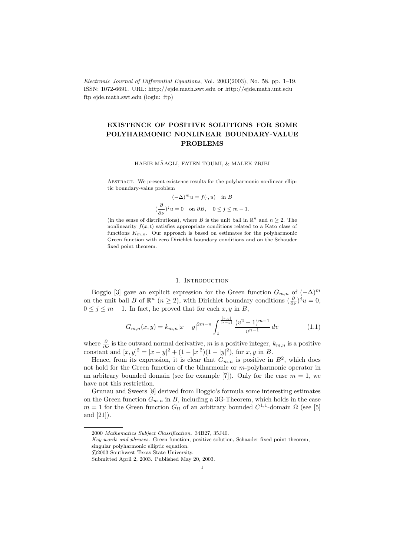Electronic Journal of Differential Equations, Vol. 2003(2003), No. 58, pp. 1–19. ISSN: 1072-6691. URL: http://ejde.math.swt.edu or http://ejde.math.unt.edu ftp ejde.math.swt.edu (login: ftp)

# EXISTENCE OF POSITIVE SOLUTIONS FOR SOME POLYHARMONIC NONLINEAR BOUNDARY-VALUE PROBLEMS

#### HABIB MÂAGLI, FATEN TOUMI, & MALEK ZRIBI

ABSTRACT. We present existence results for the polyharmonic nonlinear elliptic boundary-value problem

> $(-\Delta)^m u = f(\cdot, u)$  in B  $\left(\frac{\partial}{\partial x}\right)$  $\frac{\partial}{\partial \nu}$ )<sup>j</sup>u = 0 on  $\partial B$ , 0  $\leq$  j  $\leq$  m - 1.

(in the sense of distributions), where B is the unit ball in  $\mathbb{R}^n$  and  $n \geq 2$ . The nonlinearity  $f(x, t)$  satisfies appropriate conditions related to a Kato class of functions  $K_{m,n}$ . Our approach is based on estimates for the polyharmonic Green function with zero Dirichlet boundary conditions and on the Schauder fixed point theorem.

#### 1. INTRODUCTION

Boggio [3] gave an explicit expression for the Green function  $G_{m,n}$  of  $(-\Delta)^m$ on the unit ball B of  $\mathbb{R}^n$   $(n \geq 2)$ , with Dirichlet boundary conditions  $(\frac{\partial}{\partial \nu})^j u = 0$ ,  $0 \leq j \leq m-1$ . In fact, he proved that for each  $x, y$  in B,

$$
G_{m,n}(x,y) = k_{m,n}|x-y|^{2m-n} \int_{1}^{\frac{x,y}{|x-y|}} \frac{(v^2 - 1)^{m-1}}{v^{n-1}} dv \qquad (1.1)
$$

where  $\frac{\partial}{\partial \nu}$  is the outward normal derivative, m is a positive integer,  $k_{m,n}$  is a positive constant and  $[x, y]^2 = |x - y|^2 + (1 - |x|^2)(1 - |y|^2)$ , for  $x, y$  in B.

Hence, from its expression, it is clear that  $G_{m,n}$  is positive in  $B^2$ , which does not hold for the Green function of the biharmonic or m-polyharmonic operator in an arbitrary bounded domain (see for example [7]). Only for the case  $m = 1$ , we have not this restriction.

Grunau and Sweers [8] derived from Boggio's formula some interesting estimates on the Green function  $G_{m,n}$  in B, including a 3G-Theorem, which holds in the case  $m = 1$  for the Green function  $G_{\Omega}$  of an arbitrary bounded  $C^{1,1}$ -domain  $\Omega$  (see [5] and [21]).

c 2003 Southwest Texas State University.

<sup>2000</sup> Mathematics Subject Classification. 34B27, 35J40.

Key words and phrases. Green function, positive solution, Schauder fixed point theorem, singular polyharmonic elliptic equation.

Submitted April 2, 2003. Published May 20, 2003.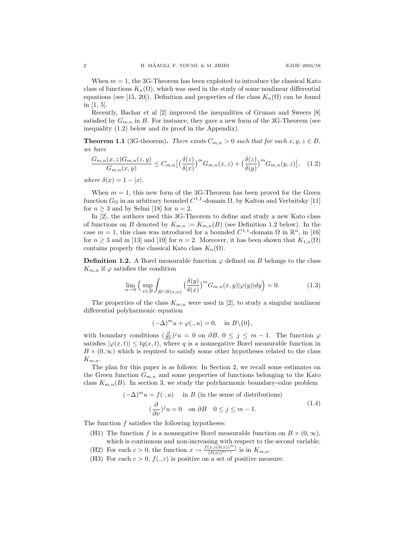When  $m = 1$ , the 3G-Theorem has been exploited to introduce the classical Kato class of functions  $K_n(\Omega)$ , which was used in the study of some nonlinear differential equations (see [15, 20]). Definition and properties of the class  $K_n(\Omega)$  can be found in [1, 5].

Recently, Bachar et al [2] improved the inequalities of Grunau and Sweers [8] satisfied by  $G_{m,n}$  in B. For instance, they gave a new form of the 3G-Theorem (see inequality (1.2) below and its proof in the Appendix).

**Theorem 1.1** (3G-theorem). There exists  $C_{m,n} > 0$  such that for each  $x, y, z \in B$ , we have

$$
\frac{G_{m,n}(x,z)G_{m,n}(z,y)}{G_{m,n}(x,y)} \leq C_{m,n}\left[\left(\frac{\delta(z)}{\delta(x)}\right)^m G_{m,n}(x,z) + \left(\frac{\delta(z)}{\delta(y)}\right)^m G_{m,n}(y,z)\right],\tag{1.2}
$$

where  $\delta(x) = 1 - |x|$ .

When  $m = 1$ , this new form of the 3G-Theorem has been proved for the Green function  $G_{\Omega}$  in an arbitrary bounded  $C^{1,1}$ -domain  $\Omega$ , by Kalton and Verbritsky [11] for  $n \geq 3$  and by Selmi [18] for  $n = 2$ .

In [2], the authors used this 3G-Theorem to define and study a new Kato class of functions on B denoted by  $K_{m,n} := K_{m,n}(B)$  (see Definition 1.2 below). In the case  $m = 1$ , this class was introduced for a bounded  $C^{1,1}$ -domain  $\Omega$  in  $\mathbb{R}^n$ , in [16] for  $n \geq 3$  and in [13] and [19] for  $n = 2$ . Moreover, it has been shown that  $K_{1,n}(\Omega)$ contains properly the classical Kato class  $K_n(\Omega)$ .

**Definition 1.2.** A Borel measurable function  $\varphi$  defined on B belongs to the class  $K_{m,n}$  if  $\varphi$  satisfies the condition

$$
\lim_{\alpha \to 0} \left( \sup_{x \in B} \int_{B \cap B(x,\alpha)} \left( \frac{\delta(y)}{\delta(x)} \right)^m G_{m,n}(x,y) |\varphi(y)| dy \right) = 0. \tag{1.3}
$$

The properties of the class  $K_{m,n}$  were used in [2], to study a singular nonlinear differential polyharmonic equation

$$
(-\Delta)^m u + \varphi(.,u) = 0, \quad \text{in } B \setminus \{0\},
$$

with boundary conditions  $(\frac{\partial}{\partial \nu})^j u = 0$  on  $\partial B, 0 \le j \le m-1$ . The function  $\varphi$ satisfies  $|\varphi(x,t)| \leq t q(x,t)$ , where q is a nonnegative Borel measurable function in  $B \times (0, \infty)$  which is required to satisfy some other hypotheses related to the class  $K_{m,n}$ .

The plan for this paper is as follows: In Section 2, we recall some estimates on the Green function  $G_{m,n}$  and some properties of functions belonging to the Kato class  $K_{m,n}(B)$ . In section 3, we study the polyharmonic boundary-value problem

$$
(-\Delta)^m u = f(\cdot, u) \quad \text{in } B \text{ (in the sense of distributions)}
$$

$$
(\frac{\partial}{\partial \nu})^j u = 0 \quad \text{on } \partial B \quad 0 \le j \le m - 1.
$$
 (1.4)

The function  $f$  satisfies the following hypotheses:

- (H1) The function f is a nonnegative Borel measurable function on  $B \times (0,\infty)$ , which is continuous and non-increasing with respect to the second variable.
- (H2) For each  $c > 0$ , the function  $x \to \frac{f(x,c(\delta(x))^m)}{(\delta(x))^{m-1}}$  is in  $K_{m,n}$ .
- (H3) For each  $c > 0$ ,  $f(. , c)$  is positive on a set of positive measure.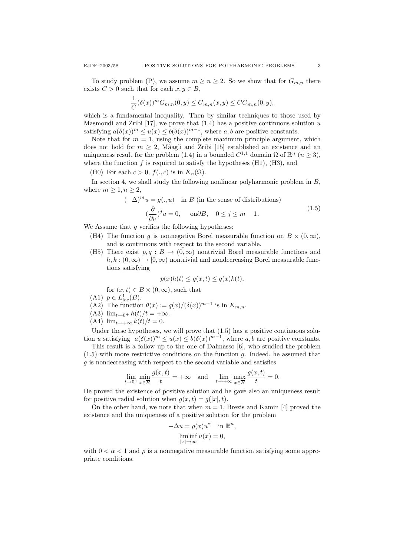To study problem (P), we assume  $m \geq n \geq 2$ . So we show that for  $G_{m,n}$  there exists  $C > 0$  such that for each  $x, y \in B$ ,

$$
\frac{1}{C}(\delta(x))^m G_{m,n}(0,y) \leq G_{m,n}(x,y) \leq C G_{m,n}(0,y),
$$

which is a fundamental inequality. Then by similar techniques to those used by Masmoudi and Zribi [17], we prove that  $(1.4)$  has a positive continuous solution u satisfying  $a(\delta(x))^m \leq u(x) \leq b(\delta(x))^{m-1}$ , where a, b are positive constants.

Note that for  $m = 1$ , using the complete maximum principle argument, which does not hold for  $m \geq 2$ , Mâagli and Zribi [15] established an existence and an uniqueness result for the problem (1.4) in a bounded  $C^{1,1}$  domain  $\Omega$  of  $\mathbb{R}^n$   $(n \geq 3)$ , where the function  $f$  is required to satisfy the hypotheses  $(H1)$ ,  $(H3)$ , and

(H0) For each  $c > 0$ ,  $f(., c)$  is in  $K_n(\Omega)$ .

In section 4, we shall study the following nonlinear polyharmonic problem in  $B$ , where  $m \geq 1, n \geq 2$ ,

$$
(-\Delta)^m u = g(., u) \text{ in } B \text{ (in the sense of distributions)}
$$

$$
(\frac{\partial}{\partial \nu})^j u = 0, \text{ on } \partial B, \quad 0 \le j \le m - 1.
$$
 (1.5)

We Assume that  $g$  verifies the following hypotheses:

- (H4) The function g is nonnegative Borel measurable function on  $B \times (0, \infty)$ , and is continuous with respect to the second variable.
- (H5) There exist  $p, q : B \to (0, \infty)$  nontrivial Borel measurable functions and  $h, k : (0, \infty) \to [0, \infty)$  nontrivial and nondecreasing Borel measurable functions satisfying

$$
p(x)h(t) \le g(x,t) \le q(x)k(t),
$$

for  $(x, t) \in B \times (0, \infty)$ , such that

- (A1)  $p \in L^1_{loc}(B)$ .
- (A2) The function  $\theta(x) := \frac{q(x)}{(\delta(x))^{m-1}}$  is in  $K_{m,n}$ .
- (A3)  $\lim_{t\to 0^+} h(t)/t = +\infty$ .
- (A4)  $\lim_{t\to+\infty} k(t)/t = 0$ .

Under these hypotheses, we will prove that  $(1.5)$  has a positive continuous solution u satisfying  $a(\delta(x))^m \leq u(x) \leq b(\delta(x))^{m-1}$ , where a, b are positive constants.

This result is a follow up to the one of Dalmasso [6], who studied the problem  $(1.5)$  with more restrictive conditions on the function g. Indeed, he assumed that g is nondecreasing with respect to the second variable and satisfies

$$
\lim_{t \to 0^+} \min_{x \in \overline{B}} \frac{g(x,t)}{t} = +\infty \quad \text{and} \quad \lim_{t \to +\infty} \max_{x \in \overline{B}} \frac{g(x,t)}{t} = 0.
$$

He proved the existence of positive solution and he gave also an uniqueness result for positive radial solution when  $g(x,t) = g(|x|, t)$ .

On the other hand, we note that when  $m = 1$ , Brezis and Kamin [4] proved the existence and the uniqueness of a positive solution for the problem

$$
-\Delta u = \rho(x)u^{\alpha} \quad \text{in } \mathbb{R}^{n},
$$

$$
\liminf_{|x| \to \infty} u(x) = 0,
$$

with  $0 < \alpha < 1$  and  $\rho$  is a nonnegative measurable function satisfying some appropriate conditions.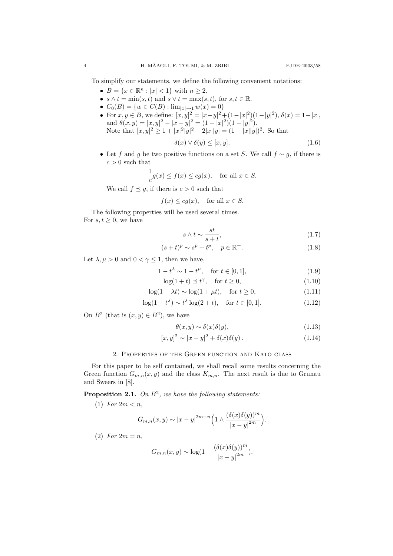To simplify our statements, we define the following convenient notations:

- $B = \{x \in \mathbb{R}^n : |x| < 1\}$  with  $n \ge 2$ .
- $s \wedge t = \min(s, t)$  and  $s \vee t = \max(s, t)$ , for  $s, t \in \mathbb{R}$ .
- $C_0(B) = \{w \in C(B) : \lim_{|x| \to 1} w(x) = 0\}$
- For  $x, y \in B$ , we define:  $[x, y]^2 = |x y|^2 + (1 |x|^2)(1 |y|^2)$ ,  $\delta(x) = 1 |x|$ , and  $\theta(x, y) = [x, y]^2 - |x - y|^2 = (1 - |x|^2)(1 - |y|^2)$ . Note that  $[x, y]^2 \geq 1 + |x|^2|y|^2 - 2|x||y| = (1 - |x||y|)^2$ . So that

$$
\delta(x) \lor \delta(y) \le [x, y]. \tag{1.6}
$$

• Let f and g be two positive functions on a set S. We call  $f \sim g$ , if there is  $c>0$  such that

$$
\frac{1}{c}g(x) \le f(x) \le cg(x), \text{ for all } x \in S.
$$

We call  $f \preceq g$ , if there is  $c > 0$  such that

$$
f(x) \le cg(x)
$$
, for all  $x \in S$ .

The following properties will be used several times. For  $s, t \geq 0$ , we have

$$
s \wedge t \sim \frac{st}{s+t},\tag{1.7}
$$

$$
(s+t)^p \sim s^p + t^p, \quad p \in \mathbb{R}^+.
$$
 (1.8)

Let  $\lambda, \mu > 0$  and  $0 < \gamma \leq 1$ , then we have,

$$
1 - t^{\lambda} \sim 1 - t^{\mu}, \quad \text{for } t \in [0, 1], \tag{1.9}
$$

$$
\log(1+t) \preceq t^{\gamma}, \quad \text{for } t \ge 0,
$$
\n(1.10)

$$
\log(1 + \lambda t) \sim \log(1 + \mu t), \quad \text{for } t \ge 0,
$$
\n(1.11)

$$
\log(1 + t^{\lambda}) \sim t^{\lambda} \log(2 + t), \quad \text{for } t \in [0, 1].
$$
 (1.12)

On  $B^2$  (that is  $(x, y) \in B^2$ ), we have

$$
\theta(x, y) \sim \delta(x)\delta(y),\tag{1.13}
$$

$$
[x, y]^2 \sim |x - y|^2 + \delta(x)\delta(y). \tag{1.14}
$$

## 2. Properties of the Green function and Kato class

For this paper to be self contained, we shall recall some results concerning the Green function  $G_{m,n}(x, y)$  and the class  $K_{m,n}$ . The next result is due to Grunau and Sweers in [8].

**Proposition 2.1.** On  $B^2$ , we have the following statements:

(1) For  $2m < n$ ,

$$
G_{m,n}(x,y) \sim |x-y|^{2m-n} \Big(1 \wedge \frac{(\delta(x)\delta(y))^m}{|x-y|^{2m}}\Big).
$$

(2) For  $2m = n$ ,

$$
G_{m,n}(x,y) \sim \log(1 + \frac{(\delta(x)\delta(y))^m}{|x-y|^{2m}}).
$$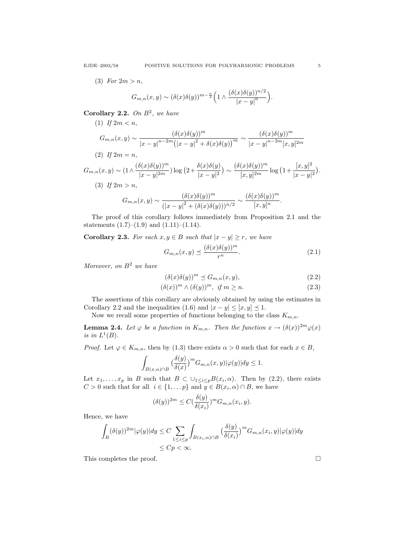(3) For  $2m > n$ ,

(1) If  $2m < n$ ,

$$
G_{m,n}(x,y) \sim (\delta(x)\delta(y))^{m-\frac{n}{2}} \Big(1 \wedge \frac{(\delta(x)\delta(y))^{n/2}}{|x-y|^n}\Big).
$$

Corollary 2.2. On  $B^2$ , we have

$$
G_{m,n}(x,y) \sim \frac{(\delta(x)\delta(y))^m}{|x-y|^{n-2m} (|x-y|^2 + \delta(x)\delta(y))^m} \sim \frac{(\delta(x)\delta(y))^m}{|x-y|^{n-2m} [x,y]^{2m}}
$$
  
(2) If  $2m = n$ ,

 $G_{m,n}(x,y) \sim (1 \wedge \frac{(\delta(x)\delta(y))^m}{\ln \delta(x)^2})$  $\frac{\delta(x)\delta(y))^m}{|x-y|^{2m}})\log\big(2+\frac{\delta(x)\delta(y)}{|x-y|^2}\big)$  $\frac{\delta(x)\delta(y)}{|x-y|^2}$   $\sim \frac{(\delta(x)\delta(y))^m}{[x,y]^{2m}}$  $\frac{(x)\delta(y))^m}{[x,y]^{2m}}\log(1+\frac{[x,y]^2}{|x-y|})$  $\frac{[x, y]}{|x - y|^2}.$ (3) If  $2m > n$ ,

$$
G_{m,n}(x,y) \sim \frac{(\delta(x)\delta(y))^m}{(|x-y|^2 + (\delta(x)\delta(y)))^{n/2}} \sim \frac{(\delta(x)\delta(y))^m}{[x,y]^n}.
$$

The proof of this corollary follows immediately from Proposition 2.1 and the statements  $(1.7)$ – $(1.9)$  and  $(1.11)$ – $(1.14)$ .

Corollary 2.3. For each  $x, y \in B$  such that  $|x - y| \ge r$ , we have

$$
G_{m,n}(x,y) \preceq \frac{(\delta(x)\delta(y))^m}{r^n}.
$$
\n(2.1)

Moreover, on  $B^2$  we have

$$
(\delta(x)\delta(y))^m \preceq G_{m,n}(x,y),\tag{2.2}
$$

$$
(\delta(x))^m \wedge (\delta(y))^m, \text{ if } m \ge n. \tag{2.3}
$$

The assertions of this corollary are obviously obtained by using the estimates in Corollary 2.2 and the inequalities (1.6) and  $|x - y| \leq [x, y] \leq 1$ .

Now we recall some properties of functions belonging to the class  $K_{m,n}$ .

**Lemma 2.4.** Let  $\varphi$  be a function in  $K_{m,n}$ . Then the function  $x \to (\delta(x))^{2m} \varphi(x)$ is in  $L^1(B)$ .

*Proof.* Let  $\varphi \in K_{m,n}$ , then by (1.3) there exists  $\alpha > 0$  such that for each  $x \in B$ ,

$$
\int_{B(x,\alpha)\cap B} \big(\frac{\delta(y)}{\delta(x)}\big)^m G_{m,n}(x,y)|\varphi(y)|dy\leq 1.
$$

Let  $x_1, \ldots, x_p$  in B such that  $B \subset \bigcup_{1 \leq i \leq p} B(x_i, \alpha)$ . Then by (2.2), there exists  $C > 0$  such that for all  $i \in \{1, \ldots p\}$  and  $y \in B(x_i, \alpha) \cap B$ , we have

$$
(\delta(y))^{2m} \le C(\frac{\delta(y)}{\delta(x_i)})^m G_{m,n}(x_i, y).
$$

Hence, we have

$$
\int_{B} (\delta(y))^{2m} |\varphi(y)| dy \le C \sum_{1 \le i \le p} \int_{B(x_i, \alpha) \cap B} \left( \frac{\delta(y)}{\delta(x_i)} \right)^m G_{m,n}(x_i, y) |\varphi(y)| dy
$$
  

$$
\le Cp < \infty.
$$

This completes the proof.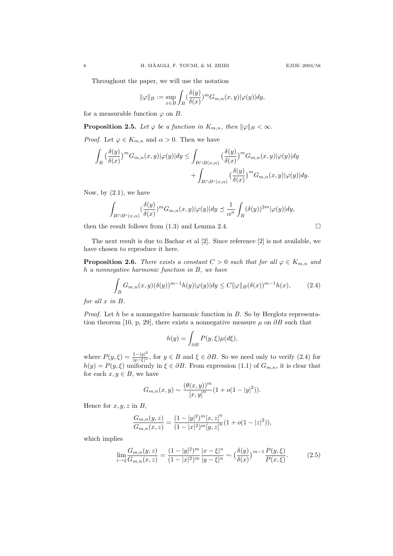Throughout the paper, we will use the notation

$$
\|\varphi\|_B := \sup_{x \in B} \int_B (\frac{\delta(y)}{\delta(x)})^m G_{m,n}(x,y) |\varphi(y)| dy,
$$

for a measurable function  $\varphi$  on B.

**Proposition 2.5.** Let  $\varphi$  be a function in  $K_{m,n}$ , then  $\|\varphi\|_B < \infty$ .

*Proof.* Let  $\varphi \in K_{m,n}$  and  $\alpha > 0$ . Then we have

$$
\begin{aligned} \int_{B} \big(\frac{\delta(y)}{\delta(x)}\big)^m G_{m,n}(x,y)|\varphi(y)|dy \leq & \int_{B \cap B(x,\alpha)} \big(\frac{\delta(y)}{\delta(x)}\big)^m G_{m,n}(x,y)|\varphi(y)|dy \\ & + \int_{B \cap B^c(x,\alpha)} \big(\frac{\delta(y)}{\delta(x)}\big)^m G_{m,n}(x,y)|\varphi(y)|dy. \end{aligned}
$$

Now, by  $(2.1)$ , we have

$$
\int_{B \cap B^c(x,\alpha)} (\frac{\delta(y)}{\delta(x)})^m G_{m,n}(x,y) |\varphi(y)| dy \preceq \frac{1}{\alpha^n} \int_B (\delta(y))^{2m} |\varphi(y)| dy,
$$

then the result follows from  $(1.3)$  and Lemma 2.4.

The next result is due to Bachar et al [2]. Since reference [2] is not available, we have chosen to reproduce it here.

**Proposition 2.6.** There exists a constant  $C > 0$  such that for all  $\varphi \in K_{m,n}$  and h a nonnegative harmonic function in B, we have

$$
\int_B G_{m,n}(x,y)(\delta(y))^{m-1}h(y)|\varphi(y)|dy \le C \|\varphi\|_B (\delta(x))^{m-1}h(x),\tag{2.4}
$$

for all x in B.

*Proof.* Let h be a nonnegative harmonic function in  $B$ . So by Herglotz representation theorem [10, p, 29], there exists a nonnegative measure  $\mu$  on  $\partial B$  such that

$$
h(y) = \int_{\partial B} P(y,\xi)\mu(d\xi),
$$

where  $P(y,\xi) = \frac{1-|y|^2}{|y-\xi|^n}$ , for  $y \in B$  and  $\xi \in \partial B$ . So we need only to verify (2.4) for  $h(y) = P(y, \xi)$  uniformly in  $\xi \in \partial B$ . From expression (1.1) of  $G_{m,n}$ , it is clear that for each  $x, y \in B$ , we have

$$
G_{m,n}(x,y) \sim \frac{(\theta(x,y))^m}{[x,y]^n} (1 + o(1 - |y|^2)).
$$

Hence for  $x, y, z$  in  $B$ ,

$$
\frac{G_{m,n}(y,z)}{G_{m,n}(x,z)} = \frac{(1-|y|^2)^m [x,z]^n}{(1-|x|^2)^m [y,z]^n} (1+o(1-|z|^2)),
$$

which implies

$$
\lim_{z \to \xi} \frac{G_{m,n}(y,z)}{G_{m,n}(x,z)} = \frac{(1-|y|^2)^m}{(1-|x|^2)^m} \frac{|x-\xi|^n}{|y-\xi|^n} \sim \left(\frac{\delta(y)}{\delta(x)}\right)^{m-1} \frac{P(y,\xi)}{P(x,\xi)}.\tag{2.5}
$$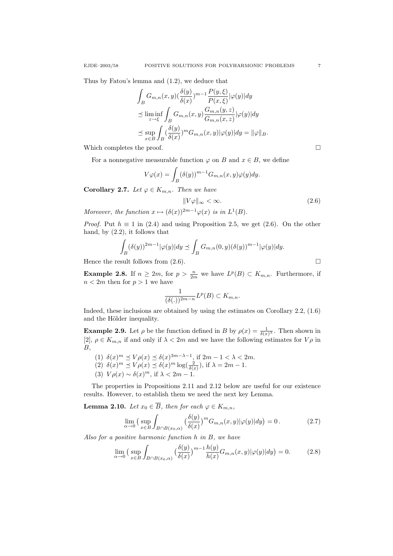Thus by Fatou's lemma and (1.2), we deduce that

$$
\int_{B} G_{m,n}(x,y) \left(\frac{\delta(y)}{\delta(x)}\right)^{m-1} \frac{P(y,\xi)}{P(x,\xi)} |\varphi(y)| dy
$$
\n
$$
\leq \liminf_{z \to \xi} \int_{B} G_{m,n}(x,y) \frac{G_{m,n}(y,z)}{G_{m,n}(x,z)} |\varphi(y)| dy
$$
\n
$$
\leq \sup_{x \in B} \int_{B} \left(\frac{\delta(y)}{\delta(x)}\right)^{m} G_{m,n}(x,y) |\varphi(y)| dy = ||\varphi||_{B}.
$$

Which completes the proof.  $\Box$ 

For a nonnegative measurable function  $\varphi$  on B and  $x \in B$ , we define

$$
V\varphi(x) = \int_B (\delta(y))^{m-1} G_{m,n}(x,y)\varphi(y) dy.
$$

Corollary 2.7. Let  $\varphi \in K_{m,n}$ . Then we have

$$
||V\varphi||_{\infty} < \infty. \tag{2.6}
$$

Moreover, the function  $x \mapsto (\delta(x))^{2m-1}\varphi(x)$  is in  $L^1(B)$ .

*Proof.* Put  $h \equiv 1$  in (2.4) and using Proposition 2.5, we get (2.6). On the other hand, by (2.2), it follows that

$$
\int_{B} (\delta(y))^{2m-1} |\varphi(y)| dy \preceq \int_{B} G_{m,n}(0, y) (\delta(y))^{m-1} |\varphi(y)| dy.
$$

Hence the result follows from  $(2.6)$ .

**Example 2.8.** If  $n \geq 2m$ , for  $p > \frac{n}{2m}$  we have  $L^p(B) \subset K_{m,n}$ . Furthermore, if  $n < 2m$  then for  $p > 1$  we have

$$
\frac{1}{(\delta(.))^{2m-n}}L^p(B)\subset K_{m,n}.
$$

Indeed, these inclusions are obtained by using the estimates on Corollary 2.2, (1.6) and the Hölder inequality.

**Example 2.9.** Let  $\rho$  be the function defined in B by  $\rho(x) = \frac{1}{\delta(x)}$ . Then shown in [2],  $\rho \in K_{m,n}$  if and only if  $\lambda < 2m$  and we have the following estimates for  $V\rho$  in  $B$ ,

- (1)  $\delta(x)^m \preceq V\rho(x) \preceq \delta(x)^{3m-\lambda-1}$ , if  $2m-1 < \lambda < 2m$ .
- (2)  $\delta(x)^m \preceq V\rho(x) \preceq \delta(x)^m \log(\frac{2}{\delta(x)})$ , if  $\lambda = 2m 1$ .
- (3)  $V\rho(x) \sim \delta(x)^m$ , if  $\lambda < 2m 1$ .

The properties in Propositions 2.11 and 2.12 below are useful for our existence results. However, to establish them we need the next key Lemma.

 $\sim$ 

**Lemma 2.10.** Let  $x_0 \in \overline{B}$ , then for each  $\varphi \in K_{m,n}$ ,

$$
\lim_{\alpha \to 0} \left( \sup_{x \in B} \int_{B \cap B(x_0, \alpha)} \left( \frac{\delta(y)}{\delta(x)} \right)^m G_{m,n}(x, y) |\varphi(y)| dy \right) = 0. \tag{2.7}
$$

Also for a positive harmonic function h in B, we have

$$
\lim_{\alpha \to 0} \left( \sup_{x \in B} \int_{B \cap B(x_0, \alpha)} \left( \frac{\delta(y)}{\delta(x)} \right)^{m-1} \frac{h(y)}{h(x)} G_{m,n}(x, y) |\varphi(y)| dy \right) = 0. \tag{2.8}
$$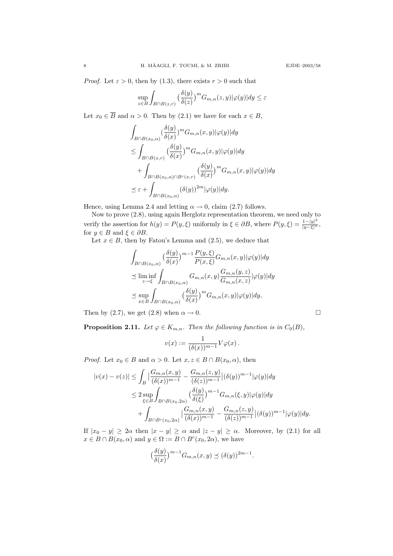*Proof.* Let  $\varepsilon > 0$ , then by (1.3), there exists  $r > 0$  such that

$$
\sup_{z \in B} \int_{B \cap B(z,r)} \left( \frac{\delta(y)}{\delta(z)} \right)^m G_{m,n}(z,y) |\varphi(y)| dy \le \varepsilon
$$

Let  $x_0 \in \overline{B}$  and  $\alpha > 0$ . Then by (2.1) we have for each  $x \in B$ ,

$$
\int_{B \cap B(x_0,\alpha)} (\frac{\delta(y)}{\delta(x)})^m G_{m,n}(x,y)|\varphi(y)| dy
$$
\n
$$
\leq \int_{B \cap B(x,r)} (\frac{\delta(y)}{\delta(x)})^m G_{m,n}(x,y)|\varphi(y)| dy
$$
\n
$$
+ \int_{B \cap B(x_0,\alpha) \cap B^c(x,r)} (\frac{\delta(y)}{\delta(x)})^m G_{m,n}(x,y)|\varphi(y)| dy
$$
\n
$$
\leq \varepsilon + \int_{B \cap B(x_0,\alpha)} (\delta(y))^{2m} |\varphi(y)| dy.
$$

Hence, using Lemma 2.4 and letting  $\alpha \to 0$ , claim (2.7) follows.

Now to prove (2.8), using again Herglotz representation theorem, we need only to verify the assertion for  $h(y) = P(y, \xi)$  uniformly in  $\xi \in \partial B$ , where  $P(y, \xi) = \frac{1-|y|^2}{|y-\xi|^n}$ , for  $y \in B$  and  $\xi \in \partial B$ .

Let  $x \in B$ , then by Fatou's Lemma and (2.5), we deduce that

$$
\int_{B \cap B(x_0,\alpha)} \left(\frac{\delta(y)}{\delta(x)}\right)^{m-1} \frac{P(y,\xi)}{P(x,\xi)} G_{m,n}(x,y) |\varphi(y)| dy
$$
\n
$$
\leq \liminf_{z \to \xi} \int_{B \cap B(x_0,\alpha)} G_{m,n}(x,y) \frac{G_{m,n}(y,z)}{G_{m,n}(x,z)} |\varphi(y)| dy
$$
\n
$$
\leq \sup_{x \in B} \int_{B \cap B(x_0,\alpha)} \left(\frac{\delta(y)}{\delta(x)}\right)^m G_{m,n}(x,y) |\varphi(y)| dy,
$$

Then by (2.7), we get (2.8) when  $\alpha \to 0$ .

**Proposition 2.11.** Let  $\varphi \in K_{m,n}$ . Then the following function is in  $C_0(B)$ ,

$$
v(x) := \frac{1}{(\delta(x))^{m-1}} V\varphi(x).
$$

*Proof.* Let  $x_0 \in B$  and  $\alpha > 0$ . Let  $x, z \in B \cap B(x_0, \alpha)$ , then

$$
|v(x) - v(z)| \leq \int_{B} \left| \frac{G_{m,n}(x,y)}{(\delta(x))^{m-1}} - \frac{G_{m,n}(z,y)}{(\delta(z))^{m-1}} \right| (\delta(y))^{m-1} |\varphi(y)| dy
$$
  
\n
$$
\leq 2 \sup_{\xi \in B} \int_{B \cap B(x_0,2\alpha)} \left( \frac{\delta(y)}{\delta(\xi)} \right)^{m-1} G_{m,n}(\xi,y) |\varphi(y)| dy
$$
  
\n
$$
+ \int_{B \cap B^c(x_0,2\alpha)} \left| \frac{G_{m,n}(x,y)}{(\delta(x))^{m-1}} - \frac{G_{m,n}(z,y)}{(\delta(z))^{m-1}} \right| (\delta(y))^{m-1} |\varphi(y)| dy.
$$

If  $|x_0 - y| \geq 2\alpha$  then  $|x - y| \geq \alpha$  and  $|z - y| \geq \alpha$ . Moreover, by (2.1) for all  $x \in B \cap B(x_0, \alpha)$  and  $y \in \Omega := B \cap B^c(x_0, 2\alpha)$ , we have

$$
\left(\frac{\delta(y)}{\delta(x)}\right)^{m-1}G_{m,n}(x,y) \preceq (\delta(y))^{2m-1}.
$$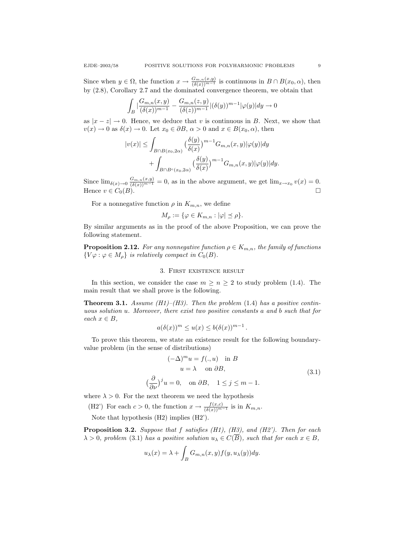Since when  $y \in \Omega$ , the function  $x \to \frac{G_{m,n}(x,y)}{(\delta(x))^{m-1}}$  is continuous in  $B \cap B(x_0, \alpha)$ , then by (2.8), Corollary 2.7 and the dominated convergence theorem, we obtain that

$$
\int_{B} \left| \frac{G_{m,n}(x,y)}{(\delta(x))^{m-1}} - \frac{G_{m,n}(z,y)}{(\delta(z))^{m-1}} \right| (\delta(y))^{m-1} |\varphi(y)| dy \to 0
$$

as  $|x - z| \to 0$ . Hence, we deduce that v is continuous in B. Next, we show that  $v(x) \to 0$  as  $\delta(x) \to 0$ . Let  $x_0 \in \partial B$ ,  $\alpha > 0$  and  $x \in B(x_0, \alpha)$ , then

$$
|v(x)| \leq \int_{B \cap B(x_0, 2\alpha)} \left(\frac{\delta(y)}{\delta(x)}\right)^{m-1} G_{m,n}(x, y) |\varphi(y)| dy
$$
  
+ 
$$
\int_{B \cap B^c(x_0, 2\alpha)} \left(\frac{\delta(y)}{\delta(x)}\right)^{m-1} G_{m,n}(x, y) |\varphi(y)| dy.
$$

Since  $\lim_{\delta(x)\to 0} \frac{G_{m,n}(x,y)}{(\delta(x))^{m-1}} = 0$ , as in the above argument, we get  $\lim_{x\to x_0} v(x) = 0$ . Hence  $v \in C_0(B)$ .

For a nonnegative function  $\rho$  in  $K_{m,n}$ , we define

$$
M_{\rho} := \{ \varphi \in K_{m,n} : |\varphi| \le \rho \}.
$$

By similar arguments as in the proof of the above Proposition, we can prove the following statement.

**Proposition 2.12.** For any nonnegative function  $\rho \in K_{m,n}$ , the family of functions  $\{V\varphi : \varphi \in M_{\rho}\}\$ is relatively compact in  $C_0(B)$ .

## 3. First existence result

In this section, we consider the case  $m \geq n \geq 2$  to study problem (1.4). The main result that we shall prove is the following.

**Theorem 3.1.** Assume (H1)–(H3). Then the problem (1.4) has a positive continuous solution u. Moreover, there exist two positive constants a and b such that for each  $x \in B$ ,

$$
a(\delta(x))^m \le u(x) \le b(\delta(x))^{m-1}.
$$

To prove this theorem, we state an existence result for the following boundaryvalue problem (in the sense of distributions)

$$
(-\Delta)^m u = f(., u) \text{ in } B
$$
  
 
$$
u = \lambda \text{ on } \partial B,
$$
  
 
$$
(\frac{\partial}{\partial \nu})^j u = 0, \text{ on } \partial B, \quad 1 \le j \le m - 1.
$$
 (3.1)

where  $\lambda > 0$ . For the next theorem we need the hypothesis

(H2') For each  $c > 0$ , the function  $x \to \frac{f(x,c)}{(\delta(x))^{m-1}}$  is in  $K_{m,n}$ .

Note that hypothesis (H2) implies (H2').

**Proposition 3.2.** Suppose that  $f$  satisfies (H1), (H3), and (H2'). Then for each  $\lambda > 0$ , problem (3.1) has a positive solution  $u_{\lambda} \in C(\overline{B})$ , such that for each  $x \in B$ ,

$$
u_{\lambda}(x) = \lambda + \int_{B} G_{m,n}(x, y) f(y, u_{\lambda}(y)) dy.
$$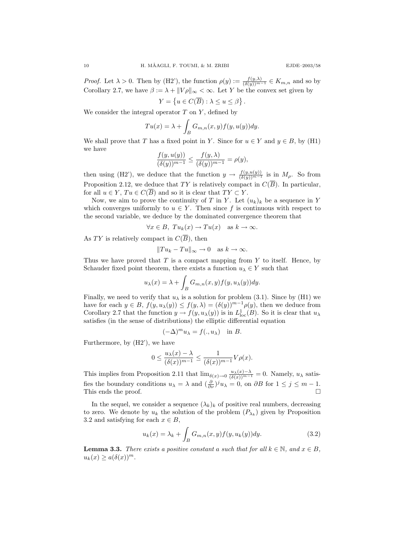*Proof.* Let  $\lambda > 0$ . Then by (H2'), the function  $\rho(y) := \frac{f(y,\lambda)}{(\delta(y))^{m-1}} \in K_{m,n}$  and so by Corollary 2.7, we have  $\beta := \lambda + ||V\rho||_{\infty} < \infty$ . Let Y be the convex set given by

ן.

$$
Y = \left\{ u \in C(\overline{B}) : \lambda \le u \le \beta \right\}
$$

We consider the integral operator  $T$  on  $Y$ , defined by

$$
Tu(x) = \lambda + \int_B G_{m,n}(x, y) f(y, u(y)) dy.
$$

We shall prove that T has a fixed point in Y. Since for  $u \in Y$  and  $y \in B$ , by (H1) we have

$$
\frac{f(y, u(y))}{(\delta(y))^{m-1}} \le \frac{f(y, \lambda)}{(\delta(y))^{m-1}} = \rho(y),
$$

then using (H2'), we deduce that the function  $y \to \frac{f(y,u(y))}{(\delta(y))^{m-1}}$  is in  $M_\rho$ . So from Proposition 2.12, we deduce that TY is relatively compact in  $C(\overline{B})$ . In particular, for all  $u \in Y$ ,  $Tu \in C(\overline{B})$  and so it is clear that  $TY \subset Y$ .

Now, we aim to prove the continuity of T in Y. Let  $(u_k)_k$  be a sequence in Y which converges uniformly to  $u \in Y$ . Then since f is continuous with respect to the second variable, we deduce by the dominated convergence theorem that

$$
\forall x \in B, \; Tu_k(x) \to Tu(x) \quad \text{as } k \to \infty.
$$

As TY is relatively compact in  $C(\overline{B})$ , then

$$
||Tu_k - Tu||_{\infty} \to 0 \text{ as } k \to \infty.
$$

Thus we have proved that  $T$  is a compact mapping from  $Y$  to itself. Hence, by Schauder fixed point theorem, there exists a function  $u_{\lambda} \in Y$  such that

$$
u_{\lambda}(x) = \lambda + \int_{B} G_{m,n}(x, y) f(y, u_{\lambda}(y)) dy.
$$

Finally, we need to verify that  $u_{\lambda}$  is a solution for problem (3.1). Since by (H1) we have for each  $y \in B$ ,  $f(y, u_\lambda(y)) \leq f(y, \lambda) = (\delta(y))^{m-1} \rho(y)$ , then we deduce from Corollary 2.7 that the function  $y \to f(y, u_\lambda(y))$  is in  $L^1_{loc}(B)$ . So it is clear that  $u_\lambda$ satisfies (in the sense of distributions) the elliptic differential equation

$$
(-\Delta)^m u_\lambda = f(., u_\lambda) \quad \text{in } B.
$$

Furthermore, by (H2'), we have

$$
0\leq \frac{u_\lambda(x)-\lambda}{(\delta(x))^{m-1}}\leq \frac{1}{(\delta(x))^{m-1}}V\rho(x).
$$

This implies from Proposition 2.11 that  $\lim_{\delta(x)\to 0} \frac{u_\lambda(x)-\lambda}{(\delta(x))^{m-1}} = 0$ . Namely,  $u_\lambda$  satisfies the boundary conditions  $u_{\lambda} = \lambda$  and  $(\frac{\partial}{\partial \nu})^j u_{\lambda} = 0$ , on  $\partial B$  for  $1 \le j \le m - 1$ . This ends the proof.

In the sequel, we consider a sequence  $(\lambda_k)_k$  of positive real numbers, decreasing to zero. We denote by  $u_k$  the solution of the problem  $(P_{\lambda_k})$  given by Proposition 3.2 and satisfying for each  $x \in B$ ,

$$
u_k(x) = \lambda_k + \int_B G_{m,n}(x,y)f(y,u_k(y))dy.
$$
\n(3.2)

**Lemma 3.3.** There exists a positive constant a such that for all  $k \in \mathbb{N}$ , and  $x \in B$ ,  $u_k(x) \geq a(\delta(x))^m$ .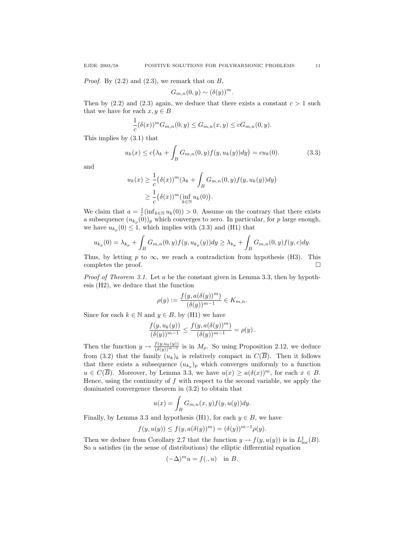*Proof.* By  $(2.2)$  and  $(2.3)$ , we remark that on B,

$$
G_{m,n}(0,y) \sim (\delta(y))^m.
$$

Then by  $(2.2)$  and  $(2.3)$  again, we deduce that there exists a constant  $c > 1$  such that we have for each  $x, y \in B$ 

$$
\frac{1}{c}(\delta(x))^m G_{m,n}(0,y) \leq G_{m,n}(x,y) \leq c G_{m,n}(0,y).
$$

This implies by (3.1) that

$$
u_k(x) \le c(\lambda_k + \int_B G_{m,n}(0, y) f(y, u_k(y)) dy) = cu_k(0).
$$
 (3.3)

and

$$
u_k(x) \geq \frac{1}{c} (\delta(x))^m (\lambda_k + \int_B G_{m,n}(0, y) f(y, u_k(y)) dy)
$$
  
 
$$
\geq \frac{1}{c} (\delta(x))^m (\inf_{k \in \mathbb{N}} u_k(0)).
$$

We claim that  $a = \frac{1}{c} (\inf_{k \in \mathbb{N}} u_k(0)) > 0$ . Assume on the contrary that there exists a subsequence  $(u_{k_p}(0))_p$  which converges to zero. In particular, for p large enough, we have  $u_{k_p}(0) \leq 1$ , which implies with  $(3.3)$  and  $(H1)$  that

$$
u_{k_p}(0) = \lambda_{k_p} + \int_B G_{m,n}(0, y) f(y, u_{k_p}(y)) dy \ge \lambda_{k_p} + \int_B G_{m,n}(0, y) f(y, c) dy.
$$

Thus, by letting p to  $\infty$ , we reach a contradiction from hypothesis (H3). This completes the proof.

Proof of Theorem 3.1. Let a be the constant given in Lemma 3.3, then by hypothesis (H2), we deduce that the function

$$
\rho(y) := \frac{f(y, a(\delta(y))^m)}{(\delta(y))^{m-1}} \in K_{m,n}.
$$

Since for each  $k \in \mathbb{N}$  and  $y \in B$ , by (H1) we have

$$
\frac{f(y, u_k(y))}{(\delta(y))^{m-1}} \le \frac{f(y, a(\delta(y))^m)}{(\delta(y))^{m-1}} = \rho(y).
$$

Then the function  $y \to \frac{f(y, u_k(y))}{(\delta(y))^{m-1}}$  is in  $M_\rho$ . So using Proposition 2.12, we deduce from (3.2) that the family  $(u_k)_k$  is relatively compact in  $C(\overline{B})$ . Then it follows that there exists a subsequence  $(u_{k_p})_p$  which converges uniformly to a function  $u \in C(\overline{B})$ . Moreover, by Lemma 3.3, we have  $u(x) \ge a(\delta(x))^m$ , for each  $x \in B$ . Hence, using the continuity of  $f$  with respect to the second variable, we apply the dominated convergence theorem in (3.2) to obtain that

$$
u(x) = \int_B G_{m,n}(x,y)f(y,u(y))dy.
$$

Finally, by Lemma 3.3 and hypothesis (H1), for each  $y \in B$ , we have

$$
f(y, u(y)) \le f(y, a(\delta(y))^m) = (\delta(y))^{m-1} \rho(y).
$$

Then we deduce from Corollary 2.7 that the function  $y \to f(y, u(y))$  is in  $L^1_{loc}(B)$ . So  $u$  satisfies (in the sense of distributions) the elliptic differential equation

$$
(-\Delta)^m u = f(.,u) \quad \text{in } B.
$$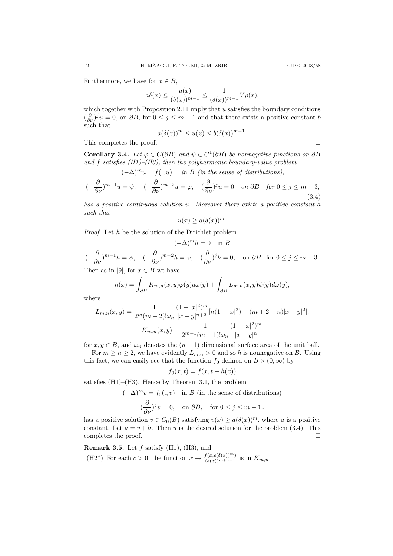Furthermore, we have for  $x \in B$ ,

$$
a\delta(x) \le \frac{u(x)}{(\delta(x))^{m-1}} \le \frac{1}{(\delta(x))^{m-1}} V\rho(x),
$$

which together with Proposition 2.11 imply that u satisfies the boundary conditions  $(\frac{\partial}{\partial \nu})^j u = 0$ , on  $\partial B$ , for  $0 \le j \le m-1$  and that there exists a positive constant b such that

$$
a(\delta(x))^m \le u(x) \le b(\delta(x))^{m-1}.
$$

This completes the proof.

**Corollary 3.4.** Let  $\varphi \in C(\partial B)$  and  $\psi \in C^1(\partial B)$  be nonnegative functions on  $\partial B$ and f satisfies  $(H1)$ – $(H3)$ , then the polyharmonic boundary-value problem

 $(-\Delta)^mu = f(.,u)$  in B (in the sense of distributions),

$$
(-\frac{\partial}{\partial \nu})^{m-1}u = \psi, \quad (-\frac{\partial}{\partial \nu})^{m-2}u = \varphi, \quad (\frac{\partial}{\partial \nu})^j u = 0 \quad on \ \partial B \quad \text{for } 0 \le j \le m-3,
$$
\n(3.4)

has a positive continuous solution u. Moreover there exists a positive constant a such that

$$
u(x) \ge a(\delta(x))^m.
$$

Proof. Let h be the solution of the Dirichlet problem

$$
(-\Delta)^m h = 0 \quad \text{in } B
$$
  

$$
(-\frac{\partial}{\partial \nu})^{m-1} h = \psi, \quad (-\frac{\partial}{\partial \nu})^{m-2} h = \varphi, \quad (\frac{\partial}{\partial \nu})^j h = 0, \quad \text{on } \partial B, \text{ for } 0 \le j \le m - 3.
$$

Then as in [9], for  $x \in B$  we have

$$
h(x) = \int_{\partial B} K_{m,n}(x,y)\varphi(y)d\omega(y) + \int_{\partial B} L_{m,n}(x,y)\psi(y)d\omega(y),
$$

where

$$
L_{m,n}(x,y) = \frac{1}{2^m(m-2)!\omega_n} \frac{(1-|x|^2)^m}{|x-y|^{n+2}} [n(1-|x|^2) + (m+2-n)|x-y|^2],
$$
  

$$
K_{m,n}(x,y) = \frac{1}{2^{m-1}(m-1)!\omega_n} \frac{(1-|x|^2)^m}{|x-y|^n}
$$

for  $x, y \in B$ , and  $\omega_n$  denotes the  $(n-1)$  dimensional surface area of the unit ball.

For  $m \geq n \geq 2$ , we have evidently  $L_{m,n} > 0$  and so h is nonnegative on B. Using this fact, we can easily see that the function  $f_0$  defined on  $B \times (0, \infty)$  by

$$
f_0(x,t) = f(x, t + h(x))
$$

satisfies  $(H1)$ – $(H3)$ . Hence by Theorem 3.1, the problem

 $(-\Delta)^m v = f_0(., v)$  in B (in the sense of distributions)

$$
(\frac{\partial}{\partial \nu})^j v = 0, \quad \text{on } \partial B, \quad \text{for } 0 \le j \le m - 1.
$$

has a positive solution  $v \in C_0(B)$  satisfying  $v(x) \ge a(\delta(x))^m$ , where a is a positive constant. Let  $u = v + h$ . Then u is the desired solution for the problem (3.4). This completes the proof.  $\Box$ 

**Remark 3.5.** Let  $f$  satisfy (H1), (H3), and (H2") For each  $c > 0$ , the function  $x \to \frac{f(x,c(\delta(x)))^m}{(\delta(x))^{m+n-1}}$  is in  $K_{m,n}$ .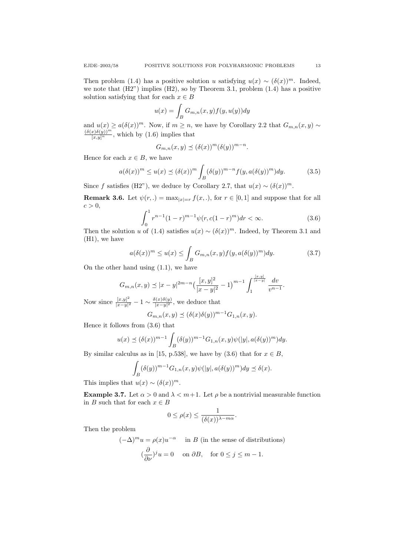Then problem (1.4) has a positive solution u satisfying  $u(x) \sim (\delta(x))^m$ . Indeed, we note that  $(H2)$  implies  $(H2)$ , so by Theorem 3.1, problem  $(1.4)$  has a positive solution satisfying that for each  $x \in B$ 

$$
u(x) = \int_B G_{m,n}(x, y) f(y, u(y)) dy
$$

and  $u(x) \ge a(\delta(x))^m$ . Now, if  $m \ge n$ , we have by Corollary 2.2 that  $G_{m,n}(x, y) \sim$  $\frac{(\delta(x)\delta(y))^m}{[x,y]^n}$ , which by (1.6) implies that

$$
G_{m,n}(x,y) \preceq (\delta(x))^m (\delta(y))^{m-n}.
$$

Hence for each  $x \in B$ , we have

$$
a(\delta(x))^m \le u(x) \le (\delta(x))^m \int_B (\delta(y))^{m-n} f(y, a(\delta(y))^m) dy.
$$
 (3.5)

Since f satisfies (H2"), we deduce by Corollary 2.7, that  $u(x) \sim (\delta(x))^m$ .

**Remark 3.6.** Let  $\psi(r,.) = \max_{|x|=r} f(x,.)$ , for  $r \in [0,1]$  and suppose that for all  $c > 0$ ,

$$
\int_0^1 r^{n-1} (1-r)^{m-1} \psi(r, c(1-r)^m) dr < \infty.
$$
 (3.6)

Then the solution u of (1.4) satisfies  $u(x) \sim (\delta(x))^m$ . Indeed, by Theorem 3.1 and (H1), we have

$$
a(\delta(x))^m \le u(x) \le \int_B G_{m,n}(x,y)f(y,a(\delta(y))^m)dy. \tag{3.7}
$$

On the other hand using (1.1), we have

$$
G_{m,n}(x,y) \preceq |x-y|^{2m-n} \left(\frac{[x,y]^2}{|x-y|^2} - 1\right)^{m-1} \int_1^{\frac{[x,y]}{|x-y|}} \frac{dv}{v^{n-1}}.
$$

Now since  $\frac{[x,y]^2}{|x-y|^2}$  $\frac{[x,y]^2}{|x-y|^2} - 1 \sim \frac{\delta(x)\delta(y)}{|x-y|^2}$  $\frac{y(x)\delta(y)}{|x-y|^2}$ , we deduce that

$$
G_{m,n}(x,y) \preceq (\delta(x)\delta(y))^{m-1} G_{1,n}(x,y).
$$

Hence it follows from (3.6) that

$$
u(x) \preceq (\delta(x))^{m-1} \int_B (\delta(y))^{m-1} G_{1,n}(x,y) \psi(|y|, a(\delta(y))^m) dy.
$$

By similar calculus as in [15, p.538], we have by (3.6) that for  $x \in B$ ,

$$
\int_B (\delta(y))^{m-1} G_{1,n}(x,y) \psi(|y|, a(\delta(y))^m) dy \preceq \delta(x).
$$

This implies that  $u(x) \sim (\delta(x))^m$ .

**Example 3.7.** Let  $\alpha > 0$  and  $\lambda < m+1$ . Let  $\rho$  be a nontrivial measurable function in B such that for each  $x \in B$ 

$$
0 \le \rho(x) \le \frac{1}{(\delta(x))^{\lambda - m\alpha}}.
$$

Then the problem

 $(-\Delta)^m u = \rho(x)u^{-\alpha}$  in B (in the sense of distributions)  $\left(\frac{\partial}{\partial \nu}\right)^j u = 0$  on  $\partial B$ , for  $0 \le j \le m - 1$ .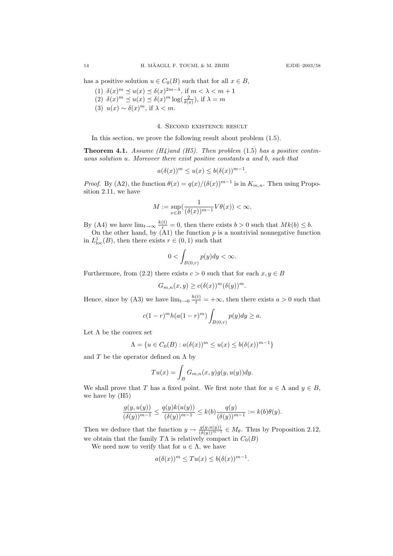has a positive solution  $u \in C_0(B)$  such that for all  $x \in B$ ,

- (1)  $\delta(x)^m \preceq u(x) \preceq \delta(x)^{2m-\lambda}$ , if  $m < \lambda < m+1$ (2)  $\delta(x)^m \preceq u(x) \preceq \delta(x)^m \log(\frac{2}{\delta(x)})$ , if  $\lambda = m$
- (3)  $u(x) \sim \delta(x)^m$ , if  $\lambda < m$ .

## 4. Second existence result

In this section, we prove the following result about problem (1.5).

**Theorem 4.1.** Assume (H4)and (H5). Then problem (1.5) has a positive continuous solution u. Moreover there exist positive constants a and b, such that

$$
a(\delta(x))^m \le u(x) \le b(\delta(x))^{m-1}.
$$

*Proof.* By (A2), the function  $\theta(x) = q(x)/(\delta(x))^{m-1}$  is in  $K_{m,n}$ . Then using Proposition 2.11, we have

$$
M := \sup_{x \in B} \left( \frac{1}{(\delta(x))^{m-1}} V \theta(x) \right) < \infty.
$$

By (A4) we have  $\lim_{t\to\infty} \frac{k(t)}{t} = 0$ , then there exists  $b > 0$  such that  $Mk(b) \leq b$ .

On the other hand, by  $(A1)$  the function  $p$  is a nontrivial nonnegative function in  $L^1_{\text{loc}}(B)$ , then there exists  $r \in (0,1)$  such that

$$
0 < \int_{B(0,r)} p(y) dy < \infty.
$$

Furthermore, from (2.2) there exists  $c > 0$  such that for each  $x, y \in B$ 

$$
G_{m,n}(x,y) \ge c(\delta(x))^m (\delta(y))^m.
$$

Hence, since by (A3) we have  $\lim_{t\to 0} \frac{h(t)}{t} = +\infty$ , then there exists  $a > 0$  such that

$$
c(1-r)^{m}h(a(1-r)^{m})\int_{B(0,r)}p(y)dy \geq a.
$$

Let  $\Lambda$  be the convex set

$$
\Lambda = \{ u \in C_0(B) : a(\delta(x))^m \le u(x) \le b(\delta(x))^{m-1} \}
$$

and T be the operator defined on  $\Lambda$  by

$$
Tu(x) = \int_B G_{m,n}(x,y)g(y,u(y))dy.
$$

We shall prove that T has a fixed point. We first note that for  $u \in \Lambda$  and  $y \in B$ , we have by (H5)

$$
\frac{g(y,u(y))}{(\delta(y))^{m-1}} \le \frac{q(y)k(u(y))}{(\delta(y))^{m-1}} \le k(b)\frac{q(y)}{(\delta(y))^{m-1}} := k(b)\theta(y).
$$

Then we deduce that the function  $y \to \frac{g(y,u(y))}{(\delta(y))^{m-1}} \in M_\theta$ . Thus by Proposition 2.12, we obtain that the family  $T\Lambda$  is relatively compact in  $C_0(B)$ 

We need now to verify that for  $u \in \Lambda$ , we have

$$
a(\delta(x))^m \le T u(x) \le b(\delta(x))^{m-1}.
$$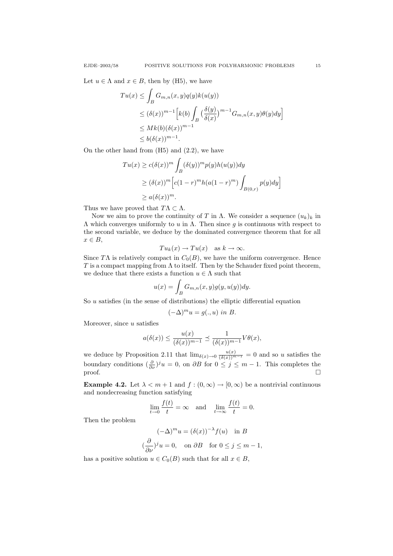Let  $u \in \Lambda$  and  $x \in B$ , then by (H5), we have

$$
Tu(x) \leq \int_B G_{m,n}(x,y)q(y)k(u(y))
$$
  
\n
$$
\leq (\delta(x))^{m-1} \Big[k(b) \int_B \left(\frac{\delta(y)}{\delta(x)}\right)^{m-1} G_{m,n}(x,y) \theta(y) dy\Big]
$$
  
\n
$$
\leq Mk(b)(\delta(x))^{m-1}.
$$
  
\n
$$
\leq b(\delta(x))^{m-1}.
$$

On the other hand from  $(H5)$  and  $(2.2)$ , we have

$$
Tu(x) \ge c(\delta(x))^m \int_B (\delta(y))^m p(y)h(u(y))dy
$$
  
\n
$$
\ge (\delta(x))^m \Big[c(1-r)^m h(a(1-r)^m)\int_{B(0,r)} p(y)dy\Big]
$$
  
\n
$$
\ge a(\delta(x))^m.
$$

Thus we have proved that  $T\Lambda \subset \Lambda$ .

Now we aim to prove the continuity of T in  $\Lambda$ . We consider a sequence  $(u_k)_k$  in Λ which converges uniformly to u in Λ. Then since g is continuous with respect to the second variable, we deduce by the dominated convergence theorem that for all  $x \in B$ ,

$$
Tu_k(x) \to Tu(x)
$$
 as  $k \to \infty$ .

Since TΛ is relatively compact in  $C_0(B)$ , we have the uniform convergence. Hence T is a compact mapping from  $\Lambda$  to itself. Then by the Schauder fixed point theorem, we deduce that there exists a function  $u \in \Lambda$  such that

$$
u(x) = \int_B G_{m,n}(x,y)g(y,u(y))dy.
$$

So  $u$  satisfies (in the sense of distributions) the elliptic differential equation

$$
(-\Delta)^m u = g(.,u) \text{ in } B.
$$

Moreover, since  $u$  satisfies

$$
a(\delta(x)) \le \frac{u(x)}{(\delta(x))^{m-1}} \preceq \frac{1}{(\delta(x))^{m-1}} V\theta(x),
$$

we deduce by Proposition 2.11 that  $\lim_{\delta(x)\to 0} \frac{u(x)}{(\delta(x))^{m-1}} = 0$  and so u satisfies the boundary conditions  $\left(\frac{\partial}{\partial \nu}\right)^j u = 0$ , on  $\partial B$  for  $0 \le j \le m-1$ . This completes the  $\Box$ 

**Example 4.2.** Let  $\lambda < m+1$  and  $f : (0, \infty) \to [0, \infty)$  be a nontrivial continuous and nondecreasing function satisfying

$$
\lim_{t \to 0} \frac{f(t)}{t} = \infty \quad \text{and} \quad \lim_{t \to \infty} \frac{f(t)}{t} = 0.
$$

Then the problem

$$
(-\Delta)^m u = (\delta(x))^{-\lambda} f(u) \text{ in } B
$$
  

$$
(\frac{\partial}{\partial \nu})^j u = 0, \text{ on } \partial B \text{ for } 0 \le j \le m - 1,
$$

has a positive solution  $u \in C_0(B)$  such that for all  $x \in B$ ,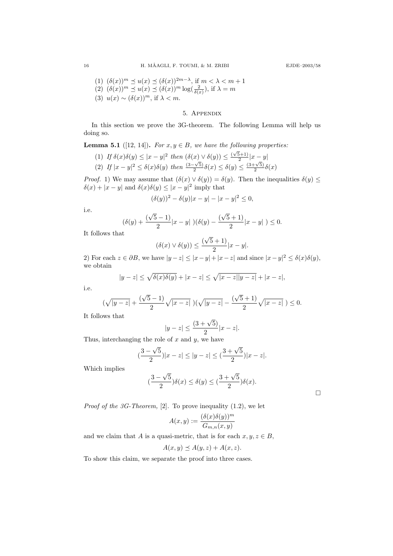(1) 
$$
(\delta(x))^m \preceq u(x) \preceq (\delta(x))^{2m-\lambda}
$$
, if  $m < \lambda < m+1$ 

(2)  $(\delta(x))^m \preceq u(x) \preceq (\delta(x))^m \log(\frac{2}{\delta(x)})$ , if  $\lambda = m$ 

(3)  $u(x) \sim (\delta(x))^m$ , if  $\lambda < m$ .

## 5. Appendix

In this section we prove the 3G-theorem. The following Lemma will help us doing so.

**Lemma 5.1** ([12, 14]). For  $x, y \in B$ , we have the following properties:

(1) If 
$$
\delta(x)\delta(y) \leq |x-y|^2
$$
 then  $(\delta(x) \vee \delta(y)) \leq \frac{(\sqrt{5}+1)}{2}|x-y|$ \n(2) If  $|x-y|^2 \leq \delta(x)\delta(y)$  then  $\frac{(3-\sqrt{5})}{2}\delta(x) \leq \delta(y) \leq \frac{(3+\sqrt{5})}{2}\delta(x)$ 

*Proof.* 1) We may assume that  $(\delta(x) \vee \delta(y)) = \delta(y)$ . Then the inequalities  $\delta(y) \leq$  $\delta(x) + |x - y|$  and  $\delta(x)\delta(y) \leq |x - y|^2$  imply that

$$
(\delta(y))^2 - \delta(y)|x - y| - |x - y|^2 \le 0,
$$

i.e.

$$
(\delta(y) + \frac{(\sqrt{5} - 1)}{2}|x - y|)(\delta(y) - \frac{(\sqrt{5} + 1)}{2}|x - y|) \le 0.
$$

It follows that

$$
(\delta(x)\vee \delta(y))\leq \frac{(\sqrt{5}+1)}{2}|x-y|.
$$

2) For each  $z \in \partial B$ , we have  $|y - z| \le |x - y| + |x - z|$  and since  $|x - y|^2 \le \delta(x)\delta(y)$ , we obtain

$$
|y - z| \le \sqrt{\delta(x)\delta(y)} + |x - z| \le \sqrt{|x - z||y - z|} + |x - z|,
$$

i.e.

$$
(\sqrt{|y-z|} + \frac{(\sqrt{5}-1)}{2}\sqrt{|x-z|})(\sqrt{|y-z|} - \frac{(\sqrt{5}+1)}{2}\sqrt{|x-z|}) \le 0.
$$

It follows that

$$
|y - z| \le \frac{(3 + \sqrt{5})}{2} |x - z|.
$$

Thus, interchanging the role of  $x$  and  $y$ , we have

$$
\left|\frac{3-\sqrt{5}}{2}\right| |x-z| \le |y-z| \le \left(\frac{3+\sqrt{5}}{2}\right) |x-z|.
$$

Which implies

$$
(\frac{3-\sqrt{5}}{2})\delta(x) \le \delta(y) \le (\frac{3+\sqrt{5}}{2})\delta(x).
$$

 $\Box$ 

*Proof of the 3G-Theorem*,  $[2]$ . To prove inequality  $(1.2)$ , we let

$$
A(x,y) := \frac{(\delta(x)\delta(y))^m}{G_{m,n}(x,y)}
$$

and we claim that A is a quasi-metric, that is for each  $x, y, z \in B$ ,

$$
A(x, y) \preceq A(y, z) + A(x, z).
$$

To show this claim, we separate the proof into three cases.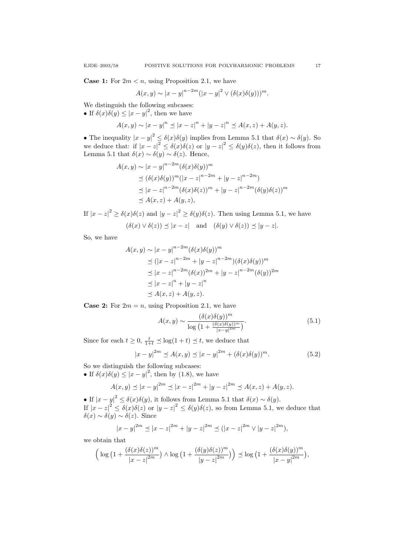**Case 1:** For  $2m < n$ , using Proposition 2.1, we have

$$
A(x,y) \sim |x-y|^{n-2m} (|x-y|^2 \vee (\delta(x)\delta(y)))^m.
$$

We distinguish the following subcases: • If  $\delta(x)\delta(y) \leq |x-y|^2$ , then we have

$$
A(x, y) \sim |x - y|^n \le |x - z|^n + |y - z|^n \le A(x, z) + A(y, z).
$$

• The inequality  $|x-y|^2 \leq \delta(x)\delta(y)$  implies from Lemma 5.1 that  $\delta(x) \sim \delta(y)$ . So we deduce that: if  $|x-z|^2 \leq \delta(x)\delta(z)$  or  $|y-z|^2 \leq \delta(y)\delta(z)$ , then it follows from Lemma 5.1 that  $\delta(x) \sim \delta(y) \sim \delta(z)$ . Hence,

$$
A(x, y) \sim |x - y|^{n-2m} (\delta(x)\delta(y))^m
$$
  
\n
$$
\preceq (\delta(x)\delta(y))^m (|x - z|^{n-2m} + |y - z|^{n-2m})
$$
  
\n
$$
\preceq |x - z|^{n-2m} (\delta(x)\delta(z))^m + |y - z|^{n-2m} (\delta(y)\delta(z))^m
$$
  
\n
$$
\preceq A(x, z) + A(y, z),
$$

If  $|x-z|^2 \ge \delta(x)\delta(z)$  and  $|y-z|^2 \ge \delta(y)\delta(z)$ . Then using Lemma 5.1, we have  $(\delta(x) \vee \delta(z)) \preceq |x - z|$  and  $(\delta(y) \vee \delta(z)) \preceq |y - z|$ .

So, we have

$$
A(x, y) \sim |x - y|^{n-2m} (\delta(x)\delta(y))^m
$$
  
\n
$$
\leq (|x - z|^{n-2m} + |y - z|^{n-2m}) (\delta(x)\delta(y))^m
$$
  
\n
$$
\leq |x - z|^{n-2m} (\delta(x))^{2m} + |y - z|^{n-2m} (\delta(y))^{2m}
$$
  
\n
$$
\leq |x - z|^n + |y - z|^n
$$
  
\n
$$
\leq A(x, z) + A(y, z).
$$

**Case 2:** For  $2m = n$ , using Proposition 2.1, we have

$$
A(x,y) \sim \frac{(\delta(x)\delta(y))^m}{\log\left(1 + \frac{(\delta(x)\delta(y))^m}{|x-y|^{2m}}\right)}.
$$
\n(5.1)

Since for each  $t \geq 0$ ,  $\frac{t}{1+t} \preceq \log(1+t) \preceq t$ , we deduce that

$$
|x - y|^{2m} \le A(x, y) \le |x - y|^{2m} + (\delta(x)\delta(y))^m.
$$
 (5.2)

So we distinguish the following subcases:

• If  $\delta(x)\delta(y) \leq |x-y|^2$ , then by (1.8), we have

$$
A(x, y) \preceq |x - y|^{2m} \preceq |x - z|^{2m} + |y - z|^{2m} \preceq A(x, z) + A(y, z).
$$

• If  $|x-y|^2 \leq \delta(x)\delta(y)$ , it follows from Lemma 5.1 that  $\delta(x) \sim \delta(y)$ . If  $|x-z|^2 \leq \delta(x)\delta(z)$  or  $|y-z|^2 \leq \delta(y)\delta(z)$ , so from Lemma 5.1, we deduce that δ(x) ∼ δ(y) ∼ δ(z). Since

$$
|x-y|^{2m} \le |x-z|^{2m} + |y-z|^{2m} \le (|x-z|^{2m} \vee |y-z|^{2m}),
$$

we obtain that

$$
\left(\log\left(1+\frac{(\delta(x)\delta(z))^m}{|x-z|^{2m}}\right)\wedge \log\left(1+\frac{(\delta(y)\delta(z))^m}{|y-z|^{2m}}\right)\right)\preceq \log\left(1+\frac{(\delta(x)\delta(y))^m}{|x-y|^{2m}}\right),
$$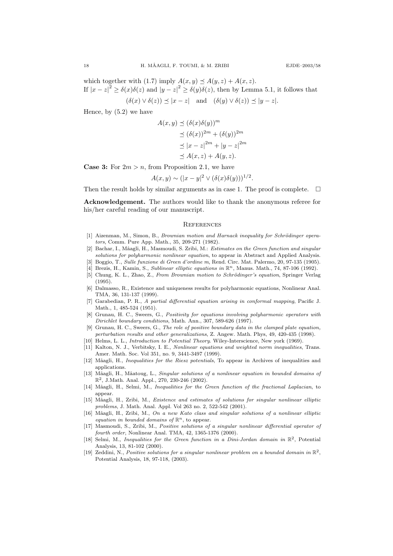which together with (1.7) imply  $A(x, y) \preceq A(y, z) + A(x, z)$ . If  $|x-z|^2 \ge \delta(x)\delta(z)$  and  $|y-z|^2 \ge \delta(y)\delta(z)$ , then by Lemma 5.1, it follows that

$$
(\delta(x) \lor \delta(z)) \preceq |x - z|
$$
 and  $(\delta(y) \lor \delta(z)) \preceq |y - z|$ .

Hence, by (5.2) we have

$$
A(x, y) \preceq (\delta(x)\delta(y))^m
$$
  
\n
$$
\preceq (\delta(x))^{2m} + (\delta(y))^{2m}
$$
  
\n
$$
\preceq |x - z|^{2m} + |y - z|^{2m}
$$
  
\n
$$
\preceq A(x, z) + A(y, z).
$$

**Case 3:** For  $2m > n$ , from Proposition 2.1, we have

$$
A(x,y) \sim (|x-y|^2 \vee (\delta(x)\delta(y)))^{1/2}.
$$

Then the result holds by similar arguments as in case 1. The proof is complete.  $\Box$ 

Acknowledgement. The authors would like to thank the anonymous referee for his/her careful reading of our manuscript.

## **REFERENCES**

- [1] Aizenman, M., Simon, B., Brownian motion and Harnack inequality for Schrödinger operators, Comm. Pure App. Math., 35, 209-271 (1982).
- [2] Bachar, I., Mâagli, H., Masmoudi, S. Zribi, M.: Estimates on the Green function and singular solutions for polyharmonic nonlinear equation, to appear in Abstract and Applied Analysis.
- [3] Boggio, T., Sulle funzione di Green d'ordine m, Rend. Circ. Mat. Palermo, 20, 97-135 (1905).
- [4] Brezis, H., Kamin, S., Sublinear elliptic equations in  $\mathbb{R}^n$ , Manus. Math., 74, 87-106 (1992).
- [5] Chung, K. L., Zhao, Z., From Brownian motion to Schrödinger's equation, Springer Verlag (1995).
- [6] Dalmasso, R., Existence and uniqueness results for polyharmonic equations, Nonlinear Anal. TMA, 36, 131-137 (1999).
- [7] Garabedian, P. R., A partial differential equation arising in conformal mapping, Pacific J. Math., 1, 485-524 (1951).
- [8] Grunau, H. C., Sweers, G., Positivity for equations involving polyharmonic operators with Dirichlet boundary conditions, Math. Ann., 307, 589-626 (1997).
- [9] Grunau, H. C., Sweers, G., The role of positive boundary data in the clamped plate equation, perturbation results and other generalizations, Z. Angew. Math. Phys, 49, 420-435 (1998).
- Helms, L. L., *Introduction to Potential Theory*. Wiley-Interscience, New york (1969).
- [11] Kalton, N. J., Verbitsky, I. E., Nonlinear equations and weighted norm inequalities, Trans. Amer. Math. Soc. Vol 351, no. 9, 3441-3497 (1999).
- [12] Mâagli, H., *Inequalities for the Riesz potentials*, To appear in Archives of inequalities and applications.
- [13] Mâagli, H., Mâatoug, L., Singular solutions of a nonlinear equation in bounded domains of  $\mathbb{R}^2$ , J.Math. Anal. Appl., 270, 230-246 (2002).
- [14] Mâagli, H., Selmi, M., Inequalities for the Green function of the fractional Laplacian, to appear.
- [15] Mâagli, H., Zribi, M., Existence and estimates of solutions for singular nonlinear elliptic problems, J. Math. Anal. Appl. Vol 263 no. 2, 522-542 (2001).
- [16] Mâagli, H., Zribi, M., On a new Kato class and singular solutions of a nonlinear elliptic equation in bounded domains of  $\mathbb{R}^n$ , to appear.
- [17] Masmoudi, S., Zribi, M., Positive solutions of a singular nonlinear differential operator of fourth order, Nonlinear Anal. TMA, 42, 1365-1376 (2000).
- [18] Selmi, M., Inequalities for the Green function in a Dini-Jordan domain in  $\mathbb{R}^2$ , Potential Analysis, 13, 81-102 (2000).
- [19] Zeddini, N., Positive solutions for a singular nonlinear problem on a bounded domain in  $\mathbb{R}^2$ , Potential Analysis, 18, 97-118, (2003).